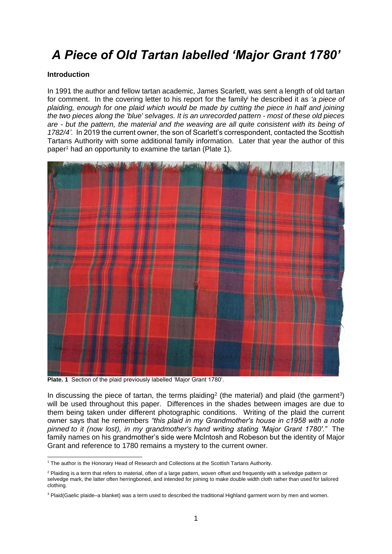# *A Piece of Old Tartan labelled 'Major Grant 1780'*

### **Introduction**

In 1991 the author and fellow tartan academic, James Scarlett, was sent a length of old tartan for comment. In the covering letter to his report for the family<sup>i</sup> he described it as *'a piece of plaiding, enough for one plaid which would be made by cutting the piece in half and joining the two pieces along the 'blue' selvages. It is an unrecorded pattern - most of these old pieces are - but the pattern, the material and the weaving are all quite consistent with its being of 1782/4'.* In 2019 the current owner, the son of Scarlett's correspondent, contacted the Scottish Tartans Authority with some additional family information. Later that year the author of this paper<sup>1</sup> had an opportunity to examine the tartan (Plate 1).



**Plate. 1** Section of the plaid previously labelled 'Major Grant 1780'.

In discussing the piece of tartan, the terms plaiding<sup>2</sup> (the material) and plaid (the garment<sup>3</sup>) will be used throughout this paper. Differences in the shades between images are due to them being taken under different photographic conditions. Writing of the plaid the current owner says that he remembers *"this plaid in my Grandmother's house in c1958 with a note pinned to it (now lost), in my grandmother's hand writing stating 'Major Grant 1780'."* The family names on his grandmother's side were McIntosh and Robeson but the identity of Major Grant and reference to 1780 remains a mystery to the current owner.

<sup>&</sup>lt;sup>1</sup> The author is the Honorary Head of Research and Collections at the Scottish Tartans Authority.

<sup>&</sup>lt;sup>2</sup> Plaiding is a term that refers to material, often of a large pattern, woven offset and frequently with a selvedge pattern or selvedge mark, the latter often herringboned, and intended for joining to make double width cloth rather than used for tailored clothing.

<sup>&</sup>lt;sup>3</sup> Plaid(Gaelic plaide–a blanket) was a term used to described the traditional Highland garment worn by men and women.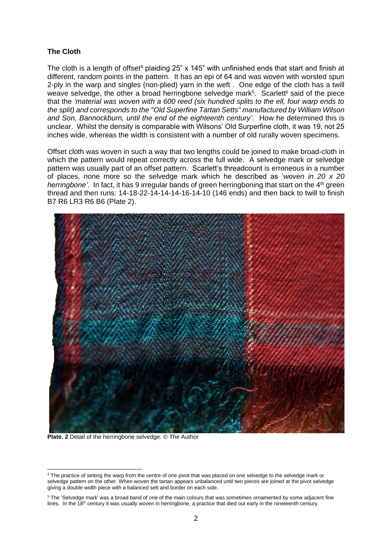### **The Cloth**

The cloth is a length of offset<sup>4</sup> plaiding  $25$ " x 145" with unfinished ends that start and finish at different, random points in the pattern. It has an epi of 64 and was woven with worsted spun 2-ply in the warp and singles (non-plied) yarn in the weft . One edge of the cloth has a twill weave selvedge, the other a broad herringbone selvedge mark<sup>5</sup>. Scarlett<sup>ii</sup> said of the piece that the *'material was woven with a 600 reed (six hundred splits to the ell, four warp ends to the split) and corresponds to the "Old Superfine Tartan Setts" manufactured by William Wilson and Son, Bannockburn, until the end of the eighteenth century'*. How he determined this is unclear. Whilst the density is comparable with Wilsons' Old Surperfine cloth, it was 19, not 25 inches wide, whereas the width is consistent with a number of old rurally woven specimens.

Offset cloth was woven in such a way that two lengths could be joined to make broad-cloth in which the pattern would repeat correctly across the full wide. A selvedge mark or selvedge pattern was usually part of an offset pattern. Scarlett's threadcount is erroneous in a number of places, none more so the selvedge mark which he described as '*woven in 20 x 20 herringbone'*. In fact, it has 9 irregular bands of green herringboning that start on the 4<sup>th</sup> green thread and then runs: 14-18-22-14-14-14-16-14-10 (146 ends) and then back to twill to finish B7 R6 LR3 R6 B6 (Plate 2).



**Plate. 2** Detail of the herringbone selvedge. © The Author

<sup>4</sup> The practice of setting the warp from the centre of one pivot that was placed on one selvedge to the selvedge mark or selvedge pattern on the other. When woven the tartan appears unbalanced until two pieces are joined at the pivot selvedge giving a double width piece with a balanced sett and border on each side.

<sup>5</sup> The 'Selvedge mark' was a broad band of one of the main colours that was sometimes ornamented by some adjacent fine lines. In the  $18<sup>th</sup>$  century it was usually woven in herringbone, a practice that died out early in the nineteenth century.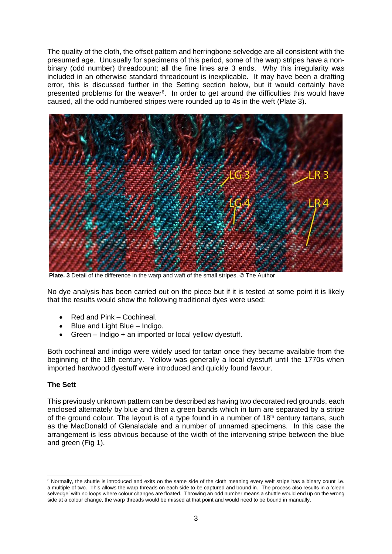The quality of the cloth, the offset pattern and herringbone selvedge are all consistent with the presumed age. Unusually for specimens of this period, some of the warp stripes have a nonbinary (odd number) threadcount; all the fine lines are 3 ends. Why this irregularity was included in an otherwise standard threadcount is inexplicable. It may have been a drafting error, this is discussed further in the Setting section below, but it would certainly have presented problems for the weaver<sup>6</sup>. In order to get around the difficulties this would have caused, all the odd numbered stripes were rounded up to 4s in the weft (Plate 3).



**Plate. 3** Detail of the difference in the warp and waft of the small stripes. © The Author

No dye analysis has been carried out on the piece but if it is tested at some point it is likely that the results would show the following traditional dyes were used:

- Red and Pink Cochineal.
- Blue and Light Blue Indigo.
- Green Indigo + an imported or local yellow dyestuff.

Both cochineal and indigo were widely used for tartan once they became available from the beginning of the 18h century. Yellow was generally a local dyestuff until the 1770s when imported hardwood dyestuff were introduced and quickly found favour.

# **The Sett**

This previously unknown pattern can be described as having two decorated red grounds, each enclosed alternately by blue and then a green bands which in turn are separated by a stripe of the ground colour. The layout is of a type found in a number of  $18<sup>th</sup>$  century tartans, such as the MacDonald of Glenaladale and a number of unnamed specimens. In this case the arrangement is less obvious because of the width of the intervening stripe between the blue and green (Fig 1).

<sup>&</sup>lt;sup>6</sup> Normally, the shuttle is introduced and exits on the same side of the cloth meaning every weft stripe has a binary count i.e. a multiple of two. This allows the warp threads on each side to be captured and bound in. The process also results in a 'clean selvedge' with no loops where colour changes are floated. Throwing an odd number means a shuttle would end up on the wrong side at a colour change, the warp threads would be missed at that point and would need to be bound in manually.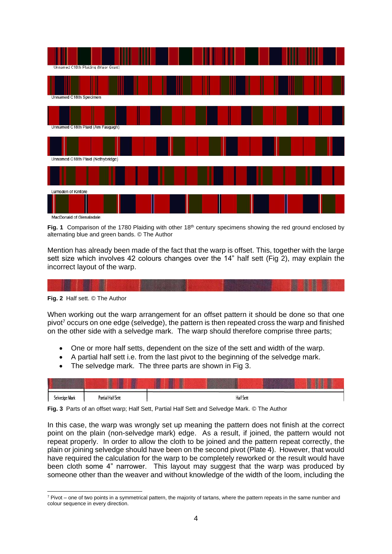

**Fig. 1** Comparison of the 1780 Plaiding with other 18<sup>th</sup> century specimens showing the red ground enclosed by alternating blue and green bands. © The Author

Mention has already been made of the fact that the warp is offset. This, together with the large sett size which involves 42 colours changes over the 14" half sett (Fig 2), may explain the incorrect layout of the warp.

**Fig. 2** Half sett. © The Author

When working out the warp arrangement for an offset pattern it should be done so that one pivot<sup>7</sup> occurs on one edge (selvedge), the pattern is then repeated cross the warp and finished on the other side with a selvedge mark. The warp should therefore comprise three parts;

- One or more half setts, dependent on the size of the sett and width of the warp.
- A partial half sett i.e. from the last pivot to the beginning of the selvedge mark.
- The selvedge mark. The three parts are shown in Fig 3.

**Fig. 3** Parts of an offset warp; Half Sett, Partial Half Sett and Selvedge Mark. © The Author

In this case, the warp was wrongly set up meaning the pattern does not finish at the correct point on the plain (non-selvedge mark) edge. As a result, if joined, the pattern would not repeat properly. In order to allow the cloth to be joined and the pattern repeat correctly, the plain or joining selvedge should have been on the second pivot (Plate 4). However, that would have required the calculation for the warp to be completely reworked or the result would have been cloth some 4" narrower. This layout may suggest that the warp was produced by someone other than the weaver and without knowledge of the width of the loom, including the

 $<sup>7</sup>$  Pivot – one of two points in a symmetrical pattern, the majority of tartans, where the pattern repeats in the same number and</sup> colour sequence in every direction.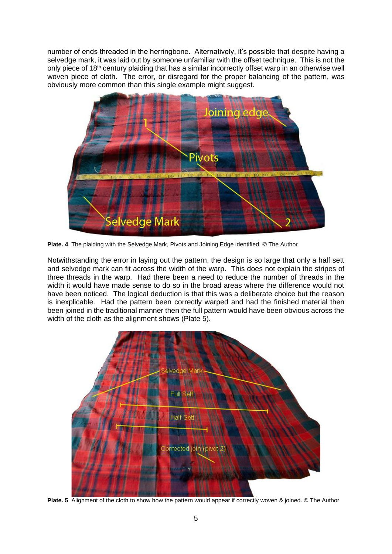number of ends threaded in the herringbone. Alternatively, it's possible that despite having a selvedge mark, it was laid out by someone unfamiliar with the offset technique. This is not the only piece of 18<sup>th</sup> century plaiding that has a similar incorrectly offset warp in an otherwise well woven piece of cloth. The error, or disregard for the proper balancing of the pattern, was obviously more common than this single example might suggest.



**Plate. 4** The plaiding with the Selvedge Mark, Pivots and Joining Edge identified. © The Author

Notwithstanding the error in laying out the pattern, the design is so large that only a half sett and selvedge mark can fit across the width of the warp. This does not explain the stripes of three threads in the warp. Had there been a need to reduce the number of threads in the width it would have made sense to do so in the broad areas where the difference would not have been noticed. The logical deduction is that this was a deliberate choice but the reason is inexplicable. Had the pattern been correctly warped and had the finished material then been joined in the traditional manner then the full pattern would have been obvious across the width of the cloth as the alignment shows (Plate 5).



**Plate. 5** Alignment of the cloth to show how the pattern would appear if correctly woven & joined. © The Author